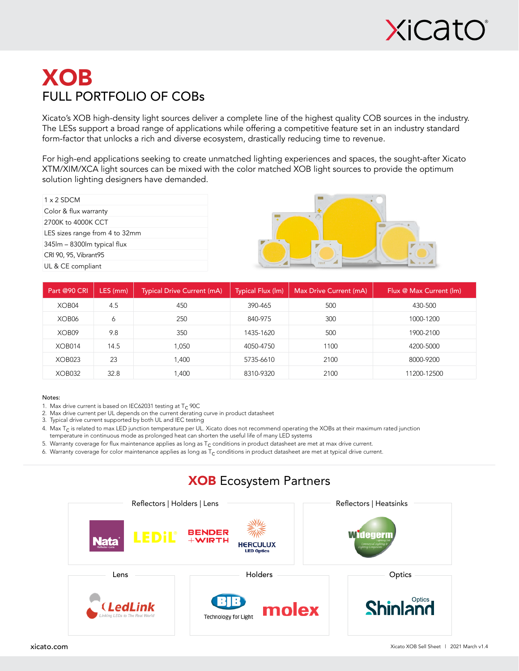

## XOB FULL PORTFOLIO OF COBs

Xicato's XOB high-density light sources deliver a complete line of the highest quality COB sources in the industry. The LESs support a broad range of applications while offering a competitive feature set in an industry standard form-factor that unlocks a rich and diverse ecosystem, drastically reducing time to revenue.

For high-end applications seeking to create unmatched lighting experiences and spaces, the sought-after Xicato XTM/XIM/XCA light sources can be mixed with the color matched XOB light sources to provide the optimum solution lighting designers have demanded.

| $1 \times 2$ SDCM              |
|--------------------------------|
| Color & flux warranty          |
| 2700K to 4000K CCT             |
| LES sizes range from 4 to 32mm |
| 345m – 8300m typical flux      |
| CRI 90, 95, Vibrant95          |
| UL & CE compliant              |



| Part @90 CRI       | LES (mm) | <b>Typical Drive Current (mA)</b> | Typical Flux (lm) | Max Drive Current (mA) | Flux @ Max Current (lm) |
|--------------------|----------|-----------------------------------|-------------------|------------------------|-------------------------|
| XOB04              | 4.5      | 450                               | 390-465           | 500                    | 430-500                 |
| XOB06              | 6        | 250                               | 840-975           | 300                    | 1000-1200               |
| XOB09              | 9.8      | 350                               | 1435-1620         | 500                    | 1900-2100               |
| XOB014             | 14.5     | 1,050                             | 4050-4750         | 1100                   | 4200-5000               |
| XOB <sub>023</sub> | 23       | 1.400                             | 5735-6610         | 2100                   | 8000-9200               |
| XOB032             | 32.8     | 400, ا                            | 8310-9320         | 2100                   | 11200-12500             |

#### Notes:

- 1. Max drive current is based on IEC62031 testing at  $T_c$  90C
- 2. Max drive current per UL depends on the current derating curve in product datasheet
- 3. Typical drive current supported by both UL and IEC testing

4. Max T<sub>C</sub> is related to max LED junction temperature per UL. Xicato does not recommend operating the XOBs at their maximum rated junction temperature in continuous mode as prolonged heat can shorten the useful life of many LED systems

5. Warranty coverage for flux maintenance applies as long as  $T_c$  conditions in product datasheet are met at max drive current.

6. Warranty coverage for color maintenance applies as long as  $T_c$  conditions in product datasheet are met at typical drive current.



### XOB Ecosystem Partners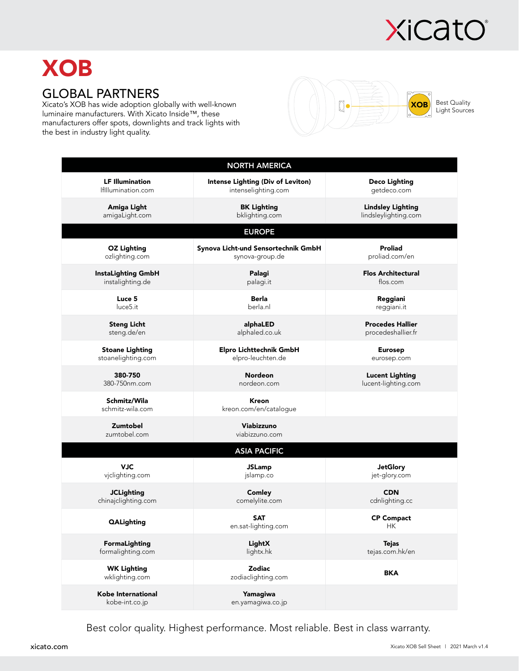

# **XOB**

## GLOBAL PARTNERS

Xicato's XOB has wide adoption globally with well-known luminaire manufacturers. With Xicato Inside™, these manufacturers offer spots, downlights and track lights with the best in industry light quality.



|                                      | <b>NORTH AMERICA</b>                |                           |  |  |  |  |  |
|--------------------------------------|-------------------------------------|---------------------------|--|--|--|--|--|
| <b>LF Illumination</b>               | Intense Lighting (Div of Leviton)   | <b>Deco Lighting</b>      |  |  |  |  |  |
| IfIllumination.com                   | intenselighting.com                 | getdeco.com               |  |  |  |  |  |
| Amiga Light                          | <b>BK Lighting</b>                  | <b>Lindsley Lighting</b>  |  |  |  |  |  |
| amigaLight.com                       | bklighting.com                      | lindsleylighting.com      |  |  |  |  |  |
| <b>EUROPE</b>                        |                                     |                           |  |  |  |  |  |
| <b>OZ Lighting</b>                   | Synova Licht-und Sensortechnik GmbH | <b>Proliad</b>            |  |  |  |  |  |
| ozlighting.com                       | synova-group.de                     | proliad.com/en            |  |  |  |  |  |
| <b>InstaLighting GmbH</b>            | Palagi                              | <b>Flos Architectural</b> |  |  |  |  |  |
| instalighting.de                     | palagi.it                           | flos.com                  |  |  |  |  |  |
| Luce 5                               | Berla                               | Reggiani                  |  |  |  |  |  |
| luce <sub>5.it</sub>                 | berla.nl                            | reggiani.it               |  |  |  |  |  |
| <b>Steng Licht</b>                   | alphaLED                            | <b>Procedes Hallier</b>   |  |  |  |  |  |
| steng.de/en                          | alphaled.co.uk                      | procedeshallier.fr        |  |  |  |  |  |
| <b>Stoane Lighting</b>               | Elpro Lichttechnik GmbH             | <b>Eurosep</b>            |  |  |  |  |  |
| stoanelighting.com                   | elpro-leuchten.de                   | eurosep.com               |  |  |  |  |  |
| 380-750                              | <b>Nordeon</b>                      | <b>Lucent Lighting</b>    |  |  |  |  |  |
| 380-750nm.com                        | nordeon.com                         | lucent-lighting.com       |  |  |  |  |  |
| Schmitz/Wila<br>schmitz-wila.com     | Kreon<br>kreon.com/en/catalogue     |                           |  |  |  |  |  |
| Zumtobel<br>zumtobel.com             | Viabizzuno<br>viabizzuno.com        |                           |  |  |  |  |  |
| <b>ASIA PACIFIC</b>                  |                                     |                           |  |  |  |  |  |
| <b>VJC</b>                           | <b>JSLamp</b>                       | <b>JetGlory</b>           |  |  |  |  |  |
| vjclighting.com                      | jslamp.co                           | jet-glory.com             |  |  |  |  |  |
| <b>JCLighting</b>                    | Comley                              | <b>CDN</b>                |  |  |  |  |  |
| chinajclighting.com                  | comelylite.com                      | cdnlighting.cc            |  |  |  |  |  |
| <b>QALighting</b>                    | <b>SAT</b><br>en.sat-lighting.com   | <b>CP Compact</b><br>HК   |  |  |  |  |  |
| FormaLighting                        | LightX                              | <b>Tejas</b>              |  |  |  |  |  |
| formalighting.com                    | lightx.hk                           | tejas.com.hk/en           |  |  |  |  |  |
| <b>WK Lighting</b><br>wklighting.com | <b>Zodiac</b><br>zodiaclighting.com | <b>BKA</b>                |  |  |  |  |  |
| Kobe International<br>kobe-int.co.jp | Yamagiwa<br>en.yamagiwa.co.jp       |                           |  |  |  |  |  |

Best color quality. Highest performance. Most reliable. Best in class warranty.